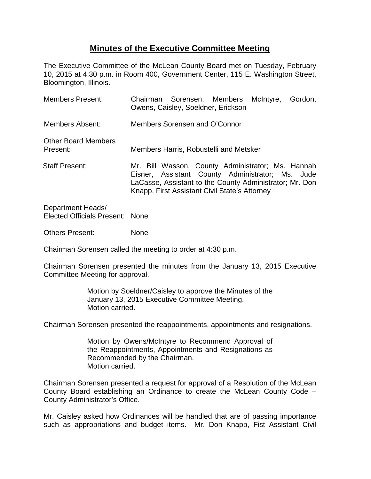## **Minutes of the Executive Committee Meeting**

The Executive Committee of the McLean County Board met on Tuesday, February 10, 2015 at 4:30 p.m. in Room 400, Government Center, 115 E. Washington Street, Bloomington, Illinois.

| <b>Members Present:</b>                | Chairman Sorensen, Members McIntyre,<br>Owens, Caisley, Soeldner, Erickson                                                                                                                                        |  |  |  | Gordon, |
|----------------------------------------|-------------------------------------------------------------------------------------------------------------------------------------------------------------------------------------------------------------------|--|--|--|---------|
| Members Absent:                        | Members Sorensen and O'Connor                                                                                                                                                                                     |  |  |  |         |
| <b>Other Board Members</b><br>Present: | Members Harris, Robustelli and Metsker                                                                                                                                                                            |  |  |  |         |
| <b>Staff Present:</b>                  | Mr. Bill Wasson, County Administrator; Ms. Hannah<br>Eisner, Assistant County Administrator; Ms. Jude<br>LaCasse, Assistant to the County Administrator; Mr. Don<br>Knapp, First Assistant Civil State's Attorney |  |  |  |         |

Department Heads/ Elected Officials Present: None

Others Present: None

Chairman Sorensen called the meeting to order at 4:30 p.m.

Chairman Sorensen presented the minutes from the January 13, 2015 Executive Committee Meeting for approval.

> Motion by Soeldner/Caisley to approve the Minutes of the January 13, 2015 Executive Committee Meeting. Motion carried.

Chairman Sorensen presented the reappointments, appointments and resignations.

Motion by Owens/McIntyre to Recommend Approval of the Reappointments, Appointments and Resignations as Recommended by the Chairman. Motion carried.

Chairman Sorensen presented a request for approval of a Resolution of the McLean County Board establishing an Ordinance to create the McLean County Code – County Administrator's Office.

Mr. Caisley asked how Ordinances will be handled that are of passing importance such as appropriations and budget items. Mr. Don Knapp, Fist Assistant Civil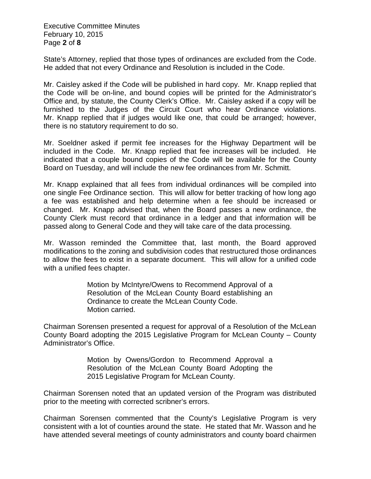Executive Committee Minutes February 10, 2015 Page **2** of **8**

State's Attorney, replied that those types of ordinances are excluded from the Code. He added that not every Ordinance and Resolution is included in the Code.

Mr. Caisley asked if the Code will be published in hard copy. Mr. Knapp replied that the Code will be on-line, and bound copies will be printed for the Administrator's Office and, by statute, the County Clerk's Office. Mr. Caisley asked if a copy will be furnished to the Judges of the Circuit Court who hear Ordinance violations. Mr. Knapp replied that if judges would like one, that could be arranged; however, there is no statutory requirement to do so.

Mr. Soeldner asked if permit fee increases for the Highway Department will be included in the Code. Mr. Knapp replied that fee increases will be included. He indicated that a couple bound copies of the Code will be available for the County Board on Tuesday, and will include the new fee ordinances from Mr. Schmitt.

Mr. Knapp explained that all fees from individual ordinances will be compiled into one single Fee Ordinance section. This will allow for better tracking of how long ago a fee was established and help determine when a fee should be increased or changed. Mr. Knapp advised that, when the Board passes a new ordinance, the County Clerk must record that ordinance in a ledger and that information will be passed along to General Code and they will take care of the data processing.

Mr. Wasson reminded the Committee that, last month, the Board approved modifications to the zoning and subdivision codes that restructured those ordinances to allow the fees to exist in a separate document. This will allow for a unified code with a unified fees chapter.

> Motion by McIntyre/Owens to Recommend Approval of a Resolution of the McLean County Board establishing an Ordinance to create the McLean County Code. Motion carried.

Chairman Sorensen presented a request for approval of a Resolution of the McLean County Board adopting the 2015 Legislative Program for McLean County – County Administrator's Office.

> Motion by Owens/Gordon to Recommend Approval a Resolution of the McLean County Board Adopting the 2015 Legislative Program for McLean County.

Chairman Sorensen noted that an updated version of the Program was distributed prior to the meeting with corrected scribner's errors.

Chairman Sorensen commented that the County's Legislative Program is very consistent with a lot of counties around the state. He stated that Mr. Wasson and he have attended several meetings of county administrators and county board chairmen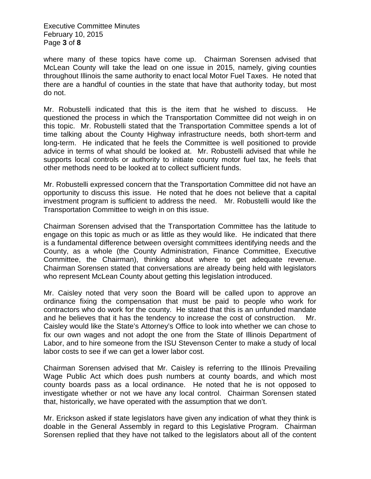Executive Committee Minutes February 10, 2015 Page **3** of **8**

where many of these topics have come up. Chairman Sorensen advised that McLean County will take the lead on one issue in 2015, namely, giving counties throughout Illinois the same authority to enact local Motor Fuel Taxes. He noted that there are a handful of counties in the state that have that authority today, but most do not.

Mr. Robustelli indicated that this is the item that he wished to discuss. He questioned the process in which the Transportation Committee did not weigh in on this topic. Mr. Robustelli stated that the Transportation Committee spends a lot of time talking about the County Highway infrastructure needs, both short-term and long-term. He indicated that he feels the Committee is well positioned to provide advice in terms of what should be looked at. Mr. Robustelli advised that while he supports local controls or authority to initiate county motor fuel tax, he feels that other methods need to be looked at to collect sufficient funds.

Mr. Robustelli expressed concern that the Transportation Committee did not have an opportunity to discuss this issue. He noted that he does not believe that a capital investment program is sufficient to address the need. Mr. Robustelli would like the Transportation Committee to weigh in on this issue.

Chairman Sorensen advised that the Transportation Committee has the latitude to engage on this topic as much or as little as they would like. He indicated that there is a fundamental difference between oversight committees identifying needs and the County, as a whole (the County Administration, Finance Committee, Executive Committee, the Chairman), thinking about where to get adequate revenue. Chairman Sorensen stated that conversations are already being held with legislators who represent McLean County about getting this legislation introduced.

Mr. Caisley noted that very soon the Board will be called upon to approve an ordinance fixing the compensation that must be paid to people who work for contractors who do work for the county. He stated that this is an unfunded mandate and he believes that it has the tendency to increase the cost of construction. Mr. Caisley would like the State's Attorney's Office to look into whether we can chose to fix our own wages and not adopt the one from the State of Illinois Department of Labor, and to hire someone from the ISU Stevenson Center to make a study of local labor costs to see if we can get a lower labor cost.

Chairman Sorensen advised that Mr. Caisley is referring to the Illinois Prevailing Wage Public Act which does push numbers at county boards, and which most county boards pass as a local ordinance. He noted that he is not opposed to investigate whether or not we have any local control. Chairman Sorensen stated that, historically, we have operated with the assumption that we don't.

Mr. Erickson asked if state legislators have given any indication of what they think is doable in the General Assembly in regard to this Legislative Program. Chairman Sorensen replied that they have not talked to the legislators about all of the content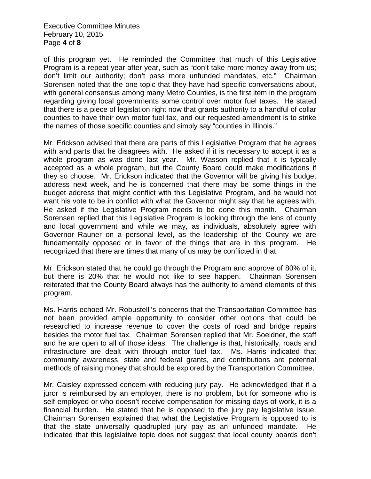Executive Committee Minutes February 10, 2015 Page **4** of **8**

of this program yet. He reminded the Committee that much of this Legislative Program is a repeat year after year, such as "don't take more money away from us; don't limit our authority; don't pass more unfunded mandates, etc." Chairman Sorensen noted that the one topic that they have had specific conversations about, with general consensus among many Metro Counties, is the first item in the program regarding giving local governments some control over motor fuel taxes. He stated that there is a piece of legislation right now that grants authority to a handful of collar counties to have their own motor fuel tax, and our requested amendment is to strike the names of those specific counties and simply say "counties in Illinois."

Mr. Erickson advised that there are parts of this Legislative Program that he agrees with and parts that he disagrees with. He asked if it is necessary to accept it as a whole program as was done last year. Mr. Wasson replied that it is typically accepted as a whole program, but the County Board could make modifications if they so choose. Mr. Erickson indicated that the Governor will be giving his budget address next week, and he is concerned that there may be some things in the budget address that might conflict with this Legislative Program, and he would not want his vote to be in conflict with what the Governor might say that he agrees with. He asked if the Legislative Program needs to be done this month. Chairman Sorensen replied that this Legislative Program is looking through the lens of county and local government and while we may, as individuals, absolutely agree with Governor Rauner on a personal level, as the leadership of the County we are fundamentally opposed or in favor of the things that are in this program. He recognized that there are times that many of us may be conflicted in that.

Mr. Erickson stated that he could go through the Program and approve of 80% of it, but there is 20% that he would not like to see happen. Chairman Sorensen reiterated that the County Board always has the authority to amend elements of this program.

Ms. Harris echoed Mr. Robustelli's concerns that the Transportation Committee has not been provided ample opportunity to consider other options that could be researched to increase revenue to cover the costs of road and bridge repairs besides the motor fuel tax. Chairman Sorensen replied that Mr. Soeldner, the staff and he are open to all of those ideas. The challenge is that, historically, roads and infrastructure are dealt with through motor fuel tax. Ms. Harris indicated that community awareness, state and federal grants, and contributions are potential methods of raising money that should be explored by the Transportation Committee.

Mr. Caisley expressed concern with reducing jury pay. He acknowledged that if a juror is reimbursed by an employer, there is no problem, but for someone who is self-employed or who doesn't receive compensation for missing days of work, it is a financial burden. He stated that he is opposed to the jury pay legislative issue. Chairman Sorensen explained that what the Legislative Program is opposed to is that the state universally quadrupled jury pay as an unfunded mandate. He indicated that this legislative topic does not suggest that local county boards don't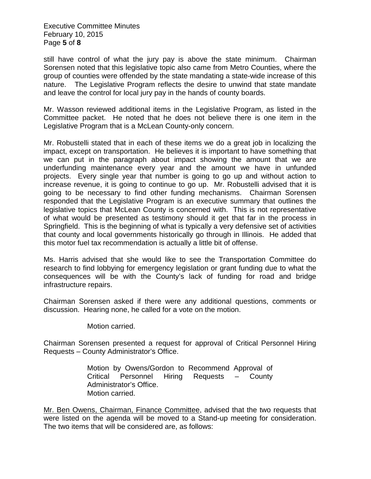Executive Committee Minutes February 10, 2015 Page **5** of **8**

still have control of what the jury pay is above the state minimum. Chairman Sorensen noted that this legislative topic also came from Metro Counties, where the group of counties were offended by the state mandating a state-wide increase of this nature. The Legislative Program reflects the desire to unwind that state mandate and leave the control for local jury pay in the hands of county boards.

Mr. Wasson reviewed additional items in the Legislative Program, as listed in the Committee packet. He noted that he does not believe there is one item in the Legislative Program that is a McLean County-only concern.

Mr. Robustelli stated that in each of these items we do a great job in localizing the impact, except on transportation. He believes it is important to have something that we can put in the paragraph about impact showing the amount that we are underfunding maintenance every year and the amount we have in unfunded projects. Every single year that number is going to go up and without action to increase revenue, it is going to continue to go up. Mr. Robustelli advised that it is going to be necessary to find other funding mechanisms. Chairman Sorensen responded that the Legislative Program is an executive summary that outlines the legislative topics that McLean County is concerned with. This is not representative of what would be presented as testimony should it get that far in the process in Springfield. This is the beginning of what is typically a very defensive set of activities that county and local governments historically go through in Illinois. He added that this motor fuel tax recommendation is actually a little bit of offense.

Ms. Harris advised that she would like to see the Transportation Committee do research to find lobbying for emergency legislation or grant funding due to what the consequences will be with the County's lack of funding for road and bridge infrastructure repairs.

Chairman Sorensen asked if there were any additional questions, comments or discussion. Hearing none, he called for a vote on the motion.

Motion carried.

Chairman Sorensen presented a request for approval of Critical Personnel Hiring Requests – County Administrator's Office.

> Motion by Owens/Gordon to Recommend Approval of Critical Personnel Hiring Requests – County Administrator's Office. Motion carried.

Mr. Ben Owens, Chairman, Finance Committee, advised that the two requests that were listed on the agenda will be moved to a Stand-up meeting for consideration. The two items that will be considered are, as follows: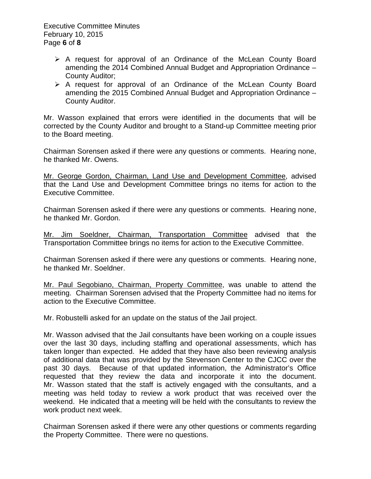- $\triangleright$  A request for approval of an Ordinance of the McLean County Board amending the 2014 Combined Annual Budget and Appropriation Ordinance – County Auditor;
- $\triangleright$  A request for approval of an Ordinance of the McLean County Board amending the 2015 Combined Annual Budget and Appropriation Ordinance – County Auditor.

Mr. Wasson explained that errors were identified in the documents that will be corrected by the County Auditor and brought to a Stand-up Committee meeting prior to the Board meeting.

Chairman Sorensen asked if there were any questions or comments. Hearing none, he thanked Mr. Owens.

Mr. George Gordon, Chairman, Land Use and Development Committee, advised that the Land Use and Development Committee brings no items for action to the Executive Committee.

Chairman Sorensen asked if there were any questions or comments. Hearing none, he thanked Mr. Gordon.

Mr. Jim Soeldner, Chairman, Transportation Committee advised that the Transportation Committee brings no items for action to the Executive Committee.

Chairman Sorensen asked if there were any questions or comments. Hearing none, he thanked Mr. Soeldner.

Mr. Paul Segobiano, Chairman, Property Committee, was unable to attend the meeting. Chairman Sorensen advised that the Property Committee had no items for action to the Executive Committee.

Mr. Robustelli asked for an update on the status of the Jail project.

Mr. Wasson advised that the Jail consultants have been working on a couple issues over the last 30 days, including staffing and operational assessments, which has taken longer than expected. He added that they have also been reviewing analysis of additional data that was provided by the Stevenson Center to the CJCC over the past 30 days. Because of that updated information, the Administrator's Office requested that they review the data and incorporate it into the document. Mr. Wasson stated that the staff is actively engaged with the consultants, and a meeting was held today to review a work product that was received over the weekend. He indicated that a meeting will be held with the consultants to review the work product next week.

Chairman Sorensen asked if there were any other questions or comments regarding the Property Committee. There were no questions.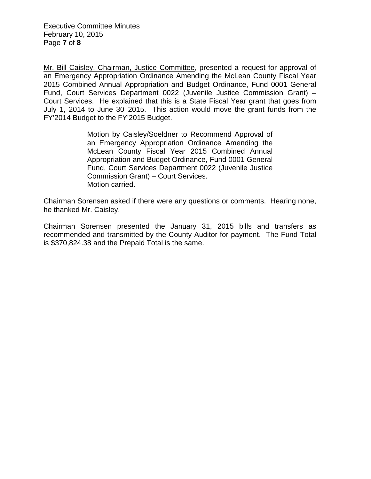Mr. Bill Caisley, Chairman, Justice Committee, presented a request for approval of an Emergency Appropriation Ordinance Amending the McLean County Fiscal Year 2015 Combined Annual Appropriation and Budget Ordinance, Fund 0001 General Fund, Court Services Department 0022 (Juvenile Justice Commission Grant) – Court Services. He explained that this is a State Fiscal Year grant that goes from July 1, 2014 to June  $30^{\circ}$  2015. This action would move the grant funds from the FY'2014 Budget to the FY'2015 Budget.

> Motion by Caisley/Soeldner to Recommend Approval of an Emergency Appropriation Ordinance Amending the McLean County Fiscal Year 2015 Combined Annual Appropriation and Budget Ordinance, Fund 0001 General Fund, Court Services Department 0022 (Juvenile Justice Commission Grant) – Court Services. Motion carried.

Chairman Sorensen asked if there were any questions or comments. Hearing none, he thanked Mr. Caisley.

Chairman Sorensen presented the January 31, 2015 bills and transfers as recommended and transmitted by the County Auditor for payment. The Fund Total is \$370,824.38 and the Prepaid Total is the same.